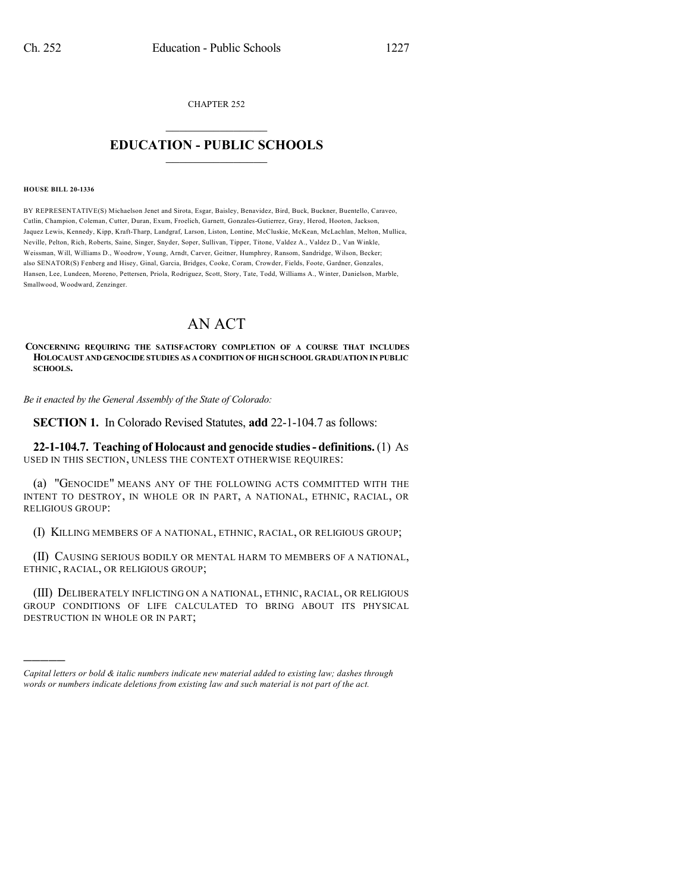CHAPTER 252

## $\mathcal{L}_\text{max}$  . The set of the set of the set of the set of the set of the set of the set of the set of the set of the set of the set of the set of the set of the set of the set of the set of the set of the set of the set **EDUCATION - PUBLIC SCHOOLS**  $\_$   $\_$   $\_$   $\_$   $\_$   $\_$   $\_$   $\_$   $\_$

## **HOUSE BILL 20-1336**

)))))

BY REPRESENTATIVE(S) Michaelson Jenet and Sirota, Esgar, Baisley, Benavidez, Bird, Buck, Buckner, Buentello, Caraveo, Catlin, Champion, Coleman, Cutter, Duran, Exum, Froelich, Garnett, Gonzales-Gutierrez, Gray, Herod, Hooton, Jackson, Jaquez Lewis, Kennedy, Kipp, Kraft-Tharp, Landgraf, Larson, Liston, Lontine, McCluskie, McKean, McLachlan, Melton, Mullica, Neville, Pelton, Rich, Roberts, Saine, Singer, Snyder, Soper, Sullivan, Tipper, Titone, Valdez A., Valdez D., Van Winkle, Weissman, Will, Williams D., Woodrow, Young, Arndt, Carver, Geitner, Humphrey, Ransom, Sandridge, Wilson, Becker; also SENATOR(S) Fenberg and Hisey, Ginal, Garcia, Bridges, Cooke, Coram, Crowder, Fields, Foote, Gardner, Gonzales, Hansen, Lee, Lundeen, Moreno, Pettersen, Priola, Rodriguez, Scott, Story, Tate, Todd, Williams A., Winter, Danielson, Marble, Smallwood, Woodward, Zenzinger.

## AN ACT

**CONCERNING REQUIRING THE SATISFACTORY COMPLETION OF A COURSE THAT INCLUDES HOLOCAUST AND GENOCIDE STUDIES AS A CONDITION OF HIGH SCHOOL GRADUATION IN PUBLIC SCHOOLS.**

*Be it enacted by the General Assembly of the State of Colorado:*

**SECTION 1.** In Colorado Revised Statutes, **add** 22-1-104.7 as follows:

**22-1-104.7. Teaching of Holocaust and genocide studies- definitions.**(1) AS USED IN THIS SECTION, UNLESS THE CONTEXT OTHERWISE REQUIRES:

(a) "GENOCIDE" MEANS ANY OF THE FOLLOWING ACTS COMMITTED WITH THE INTENT TO DESTROY, IN WHOLE OR IN PART, A NATIONAL, ETHNIC, RACIAL, OR RELIGIOUS GROUP:

(I) KILLING MEMBERS OF A NATIONAL, ETHNIC, RACIAL, OR RELIGIOUS GROUP;

(II) CAUSING SERIOUS BODILY OR MENTAL HARM TO MEMBERS OF A NATIONAL, ETHNIC, RACIAL, OR RELIGIOUS GROUP;

(III) DELIBERATELY INFLICTING ON A NATIONAL, ETHNIC, RACIAL, OR RELIGIOUS GROUP CONDITIONS OF LIFE CALCULATED TO BRING ABOUT ITS PHYSICAL DESTRUCTION IN WHOLE OR IN PART;

*Capital letters or bold & italic numbers indicate new material added to existing law; dashes through words or numbers indicate deletions from existing law and such material is not part of the act.*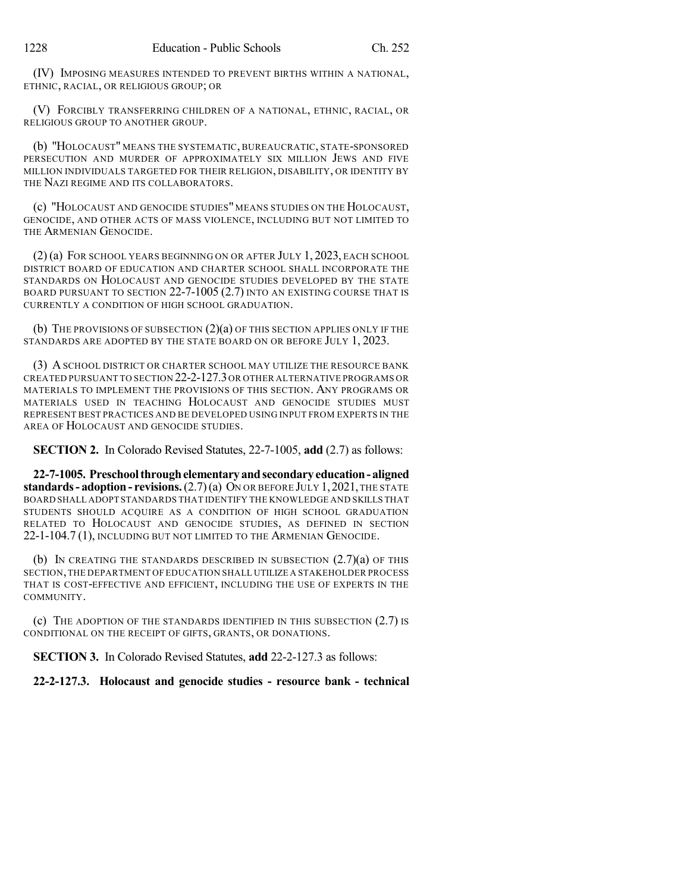(IV) IMPOSING MEASURES INTENDED TO PREVENT BIRTHS WITHIN A NATIONAL, ETHNIC, RACIAL, OR RELIGIOUS GROUP; OR

(V) FORCIBLY TRANSFERRING CHILDREN OF A NATIONAL, ETHNIC, RACIAL, OR RELIGIOUS GROUP TO ANOTHER GROUP.

(b) "HOLOCAUST" MEANS THE SYSTEMATIC, BUREAUCRATIC, STATE-SPONSORED PERSECUTION AND MURDER OF APPROXIMATELY SIX MILLION JEWS AND FIVE MILLION INDIVIDUALS TARGETED FOR THEIR RELIGION, DISABILITY, OR IDENTITY BY THE NAZI REGIME AND ITS COLLABORATORS.

(c) "HOLOCAUST AND GENOCIDE STUDIES" MEANS STUDIES ON THE HOLOCAUST, GENOCIDE, AND OTHER ACTS OF MASS VIOLENCE, INCLUDING BUT NOT LIMITED TO THE ARMENIAN GENOCIDE.

(2) (a) FOR SCHOOL YEARS BEGINNING ON OR AFTER JULY 1, 2023, EACH SCHOOL DISTRICT BOARD OF EDUCATION AND CHARTER SCHOOL SHALL INCORPORATE THE STANDARDS ON HOLOCAUST AND GENOCIDE STUDIES DEVELOPED BY THE STATE BOARD PURSUANT TO SECTION 22-7-1005 (2.7) INTO AN EXISTING COURSE THAT IS CURRENTLY A CONDITION OF HIGH SCHOOL GRADUATION.

(b) THE PROVISIONS OF SUBSECTION  $(2)(a)$  OF THIS SECTION APPLIES ONLY IF THE STANDARDS ARE ADOPTED BY THE STATE BOARD ON OR BEFORE JULY 1, 2023.

(3) ASCHOOL DISTRICT OR CHARTER SCHOOL MAY UTILIZE THE RESOURCE BANK CREATED PURSUANT TO SECTION 22-2-127.3OR OTHER ALTERNATIVE PROGRAMS OR MATERIALS TO IMPLEMENT THE PROVISIONS OF THIS SECTION. ANY PROGRAMS OR MATERIALS USED IN TEACHING HOLOCAUST AND GENOCIDE STUDIES MUST REPRESENT BEST PRACTICES AND BE DEVELOPED USING INPUT FROM EXPERTS IN THE AREA OF HOLOCAUST AND GENOCIDE STUDIES.

**SECTION 2.** In Colorado Revised Statutes, 22-7-1005, **add** (2.7) as follows:

**22-7-1005. Preschoolthroughelementaryandsecondary education- aligned standards- adoption - revisions.**(2.7)(a) ON OR BEFORE JULY 1,2021,THE STATE BOARD SHALL ADOPT STANDARDS THAT IDENTIFY THE KNOWLEDGE AND SKILLS THAT STUDENTS SHOULD ACQUIRE AS A CONDITION OF HIGH SCHOOL GRADUATION RELATED TO HOLOCAUST AND GENOCIDE STUDIES, AS DEFINED IN SECTION 22-1-104.7 (1), INCLUDING BUT NOT LIMITED TO THE ARMENIAN GENOCIDE.

(b) In CREATING THE STANDARDS DESCRIBED IN SUBSECTION  $(2.7)(a)$  of this SECTION,THE DEPARTMENT OF EDUCATION SHALL UTILIZE A STAKEHOLDER PROCESS THAT IS COST-EFFECTIVE AND EFFICIENT, INCLUDING THE USE OF EXPERTS IN THE COMMUNITY.

(c) THE ADOPTION OF THE STANDARDS IDENTIFIED IN THIS SUBSECTION (2.7) IS CONDITIONAL ON THE RECEIPT OF GIFTS, GRANTS, OR DONATIONS.

**SECTION 3.** In Colorado Revised Statutes, **add** 22-2-127.3 as follows:

**22-2-127.3. Holocaust and genocide studies - resource bank - technical**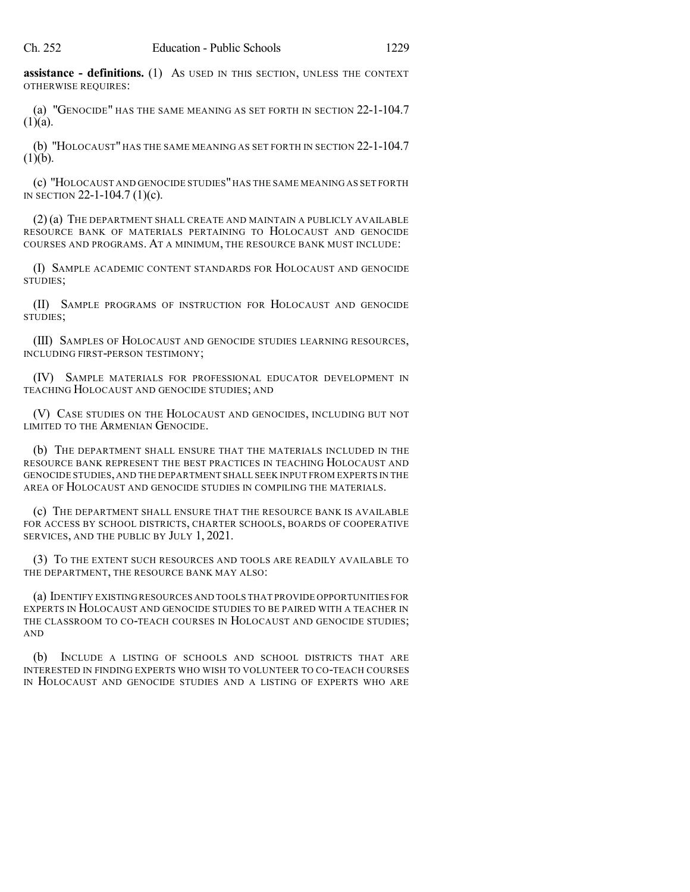**assistance - definitions.** (1) AS USED IN THIS SECTION, UNLESS THE CONTEXT OTHERWISE REQUIRES:

(a) "GENOCIDE" HAS THE SAME MEANING AS SET FORTH IN SECTION 22-1-104.7  $(1)(a)$ .

(b) "HOLOCAUST" HAS THE SAME MEANING AS SET FORTH IN SECTION 22-1-104.7  $(1)(b)$ .

(c) "HOLOCAUST AND GENOCIDE STUDIES"HAS THE SAME MEANING AS SET FORTH IN SECTION 22-1-104.7 (1)(c).

(2) (a) THE DEPARTMENT SHALL CREATE AND MAINTAIN A PUBLICLY AVAILABLE RESOURCE BANK OF MATERIALS PERTAINING TO HOLOCAUST AND GENOCIDE COURSES AND PROGRAMS. AT A MINIMUM, THE RESOURCE BANK MUST INCLUDE:

(I) SAMPLE ACADEMIC CONTENT STANDARDS FOR HOLOCAUST AND GENOCIDE STUDIES;

(II) SAMPLE PROGRAMS OF INSTRUCTION FOR HOLOCAUST AND GENOCIDE STUDIES;

(III) SAMPLES OF HOLOCAUST AND GENOCIDE STUDIES LEARNING RESOURCES, INCLUDING FIRST-PERSON TESTIMONY;

(IV) SAMPLE MATERIALS FOR PROFESSIONAL EDUCATOR DEVELOPMENT IN TEACHING HOLOCAUST AND GENOCIDE STUDIES; AND

(V) CASE STUDIES ON THE HOLOCAUST AND GENOCIDES, INCLUDING BUT NOT LIMITED TO THE ARMENIAN GENOCIDE.

(b) THE DEPARTMENT SHALL ENSURE THAT THE MATERIALS INCLUDED IN THE RESOURCE BANK REPRESENT THE BEST PRACTICES IN TEACHING HOLOCAUST AND GENOCIDE STUDIES, AND THE DEPARTMENT SHALL SEEK INPUT FROM EXPERTS IN THE AREA OF HOLOCAUST AND GENOCIDE STUDIES IN COMPILING THE MATERIALS.

(c) THE DEPARTMENT SHALL ENSURE THAT THE RESOURCE BANK IS AVAILABLE FOR ACCESS BY SCHOOL DISTRICTS, CHARTER SCHOOLS, BOARDS OF COOPERATIVE SERVICES, AND THE PUBLIC BY JULY 1, 2021.

(3) TO THE EXTENT SUCH RESOURCES AND TOOLS ARE READILY AVAILABLE TO THE DEPARTMENT, THE RESOURCE BANK MAY ALSO:

(a) IDENTIFY EXISTINGRESOURCES AND TOOLS THAT PROVIDE OPPORTUNITIES FOR EXPERTS IN HOLOCAUST AND GENOCIDE STUDIES TO BE PAIRED WITH A TEACHER IN THE CLASSROOM TO CO-TEACH COURSES IN HOLOCAUST AND GENOCIDE STUDIES; AND

(b) INCLUDE A LISTING OF SCHOOLS AND SCHOOL DISTRICTS THAT ARE INTERESTED IN FINDING EXPERTS WHO WISH TO VOLUNTEER TO CO-TEACH COURSES IN HOLOCAUST AND GENOCIDE STUDIES AND A LISTING OF EXPERTS WHO ARE